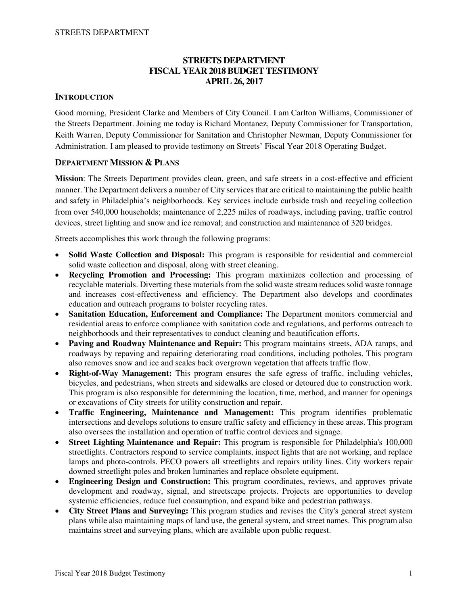## **STREETS DEPARTMENT FISCAL YEAR 2018 BUDGET TESTIMONY APRIL 26, 2017**

## **INTRODUCTION**

Good morning, President Clarke and Members of City Council. I am Carlton Williams, Commissioner of the Streets Department. Joining me today is Richard Montanez, Deputy Commissioner for Transportation, Keith Warren, Deputy Commissioner for Sanitation and Christopher Newman, Deputy Commissioner for Administration. I am pleased to provide testimony on Streets' Fiscal Year 2018 Operating Budget.

### **DEPARTMENT MISSION & PLANS**

**Mission**: The Streets Department provides clean, green, and safe streets in a cost-effective and efficient manner. The Department delivers a number of City services that are critical to maintaining the public health and safety in Philadelphia's neighborhoods. Key services include curbside trash and recycling collection from over 540,000 households; maintenance of 2,225 miles of roadways, including paving, traffic control devices, street lighting and snow and ice removal; and construction and maintenance of 320 bridges.

Streets accomplishes this work through the following programs:

- **Solid Waste Collection and Disposal:** This program is responsible for residential and commercial solid waste collection and disposal, along with street cleaning.
- **Recycling Promotion and Processing:** This program maximizes collection and processing of recyclable materials. Diverting these materials from the solid waste stream reduces solid waste tonnage and increases cost-effectiveness and efficiency. The Department also develops and coordinates education and outreach programs to bolster recycling rates.
- **Sanitation Education, Enforcement and Compliance:** The Department monitors commercial and residential areas to enforce compliance with sanitation code and regulations, and performs outreach to neighborhoods and their representatives to conduct cleaning and beautification efforts.
- **Paving and Roadway Maintenance and Repair:** This program maintains streets, ADA ramps, and roadways by repaving and repairing deteriorating road conditions, including potholes. This program also removes snow and ice and scales back overgrown vegetation that affects traffic flow.
- **Right-of-Way Management:** This program ensures the safe egress of traffic, including vehicles, bicycles, and pedestrians, when streets and sidewalks are closed or detoured due to construction work. This program is also responsible for determining the location, time, method, and manner for openings or excavations of City streets for utility construction and repair.
- **Traffic Engineering, Maintenance and Management:** This program identifies problematic intersections and develops solutions to ensure traffic safety and efficiency in these areas. This program also oversees the installation and operation of traffic control devices and signage.
- **Street Lighting Maintenance and Repair:** This program is responsible for Philadelphia's 100,000 streetlights. Contractors respond to service complaints, inspect lights that are not working, and replace lamps and photo-controls. PECO powers all streetlights and repairs utility lines. City workers repair downed streetlight poles and broken luminaries and replace obsolete equipment.
- **Engineering Design and Construction:** This program coordinates, reviews, and approves private development and roadway, signal, and streetscape projects. Projects are opportunities to develop systemic efficiencies, reduce fuel consumption, and expand bike and pedestrian pathways.
- **City Street Plans and Surveying:** This program studies and revises the City's general street system plans while also maintaining maps of land use, the general system, and street names. This program also maintains street and surveying plans, which are available upon public request.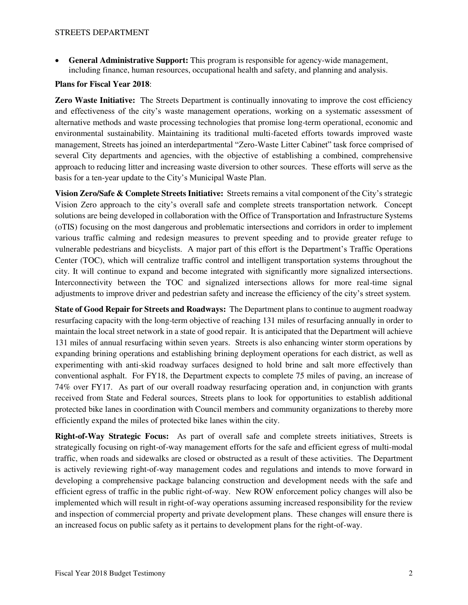**General Administrative Support:** This program is responsible for agency-wide management, including finance, human resources, occupational health and safety, and planning and analysis.

#### **Plans for Fiscal Year 2018**:

**Zero Waste Initiative:** The Streets Department is continually innovating to improve the cost efficiency and effectiveness of the city's waste management operations, working on a systematic assessment of alternative methods and waste processing technologies that promise long-term operational, economic and environmental sustainability. Maintaining its traditional multi-faceted efforts towards improved waste management, Streets has joined an interdepartmental "Zero-Waste Litter Cabinet" task force comprised of several City departments and agencies, with the objective of establishing a combined, comprehensive approach to reducing litter and increasing waste diversion to other sources. These efforts will serve as the basis for a ten-year update to the City's Municipal Waste Plan.

**Vision Zero/Safe & Complete Streets Initiative:** Streets remains a vital component of the City's strategic Vision Zero approach to the city's overall safe and complete streets transportation network. Concept solutions are being developed in collaboration with the Office of Transportation and Infrastructure Systems (oTIS) focusing on the most dangerous and problematic intersections and corridors in order to implement various traffic calming and redesign measures to prevent speeding and to provide greater refuge to vulnerable pedestrians and bicyclists. A major part of this effort is the Department's Traffic Operations Center (TOC), which will centralize traffic control and intelligent transportation systems throughout the city. It will continue to expand and become integrated with significantly more signalized intersections. Interconnectivity between the TOC and signalized intersections allows for more real-time signal adjustments to improve driver and pedestrian safety and increase the efficiency of the city's street system.

**State of Good Repair for Streets and Roadways:** The Department plans to continue to augment roadway resurfacing capacity with the long-term objective of reaching 131 miles of resurfacing annually in order to maintain the local street network in a state of good repair. It is anticipated that the Department will achieve 131 miles of annual resurfacing within seven years. Streets is also enhancing winter storm operations by expanding brining operations and establishing brining deployment operations for each district, as well as experimenting with anti-skid roadway surfaces designed to hold brine and salt more effectively than conventional asphalt. For FY18, the Department expects to complete 75 miles of paving, an increase of 74% over FY17. As part of our overall roadway resurfacing operation and, in conjunction with grants received from State and Federal sources, Streets plans to look for opportunities to establish additional protected bike lanes in coordination with Council members and community organizations to thereby more efficiently expand the miles of protected bike lanes within the city.

**Right-of-Way Strategic Focus:** As part of overall safe and complete streets initiatives, Streets is strategically focusing on right-of-way management efforts for the safe and efficient egress of multi-modal traffic, when roads and sidewalks are closed or obstructed as a result of these activities. The Department is actively reviewing right-of-way management codes and regulations and intends to move forward in developing a comprehensive package balancing construction and development needs with the safe and efficient egress of traffic in the public right-of-way. New ROW enforcement policy changes will also be implemented which will result in right-of-way operations assuming increased responsibility for the review and inspection of commercial property and private development plans. These changes will ensure there is an increased focus on public safety as it pertains to development plans for the right-of-way.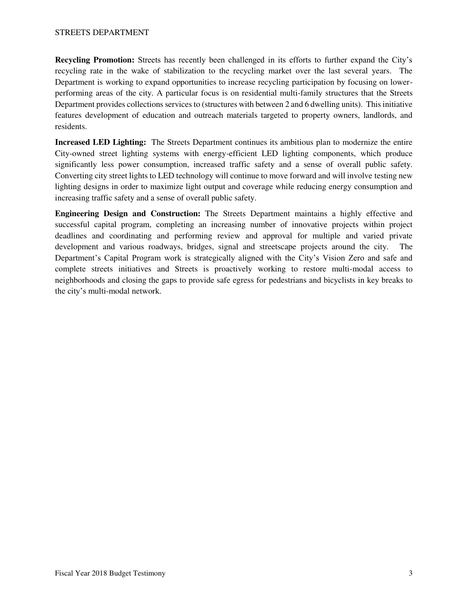**Recycling Promotion:** Streets has recently been challenged in its efforts to further expand the City's recycling rate in the wake of stabilization to the recycling market over the last several years. The Department is working to expand opportunities to increase recycling participation by focusing on lowerperforming areas of the city. A particular focus is on residential multi-family structures that the Streets Department provides collections services to (structures with between 2 and 6 dwelling units). This initiative features development of education and outreach materials targeted to property owners, landlords, and residents.

**Increased LED Lighting:** The Streets Department continues its ambitious plan to modernize the entire City-owned street lighting systems with energy-efficient LED lighting components, which produce significantly less power consumption, increased traffic safety and a sense of overall public safety. Converting city street lights to LED technology will continue to move forward and will involve testing new lighting designs in order to maximize light output and coverage while reducing energy consumption and increasing traffic safety and a sense of overall public safety.

**Engineering Design and Construction:** The Streets Department maintains a highly effective and successful capital program, completing an increasing number of innovative projects within project deadlines and coordinating and performing review and approval for multiple and varied private development and various roadways, bridges, signal and streetscape projects around the city. The Department's Capital Program work is strategically aligned with the City's Vision Zero and safe and complete streets initiatives and Streets is proactively working to restore multi-modal access to neighborhoods and closing the gaps to provide safe egress for pedestrians and bicyclists in key breaks to the city's multi-modal network.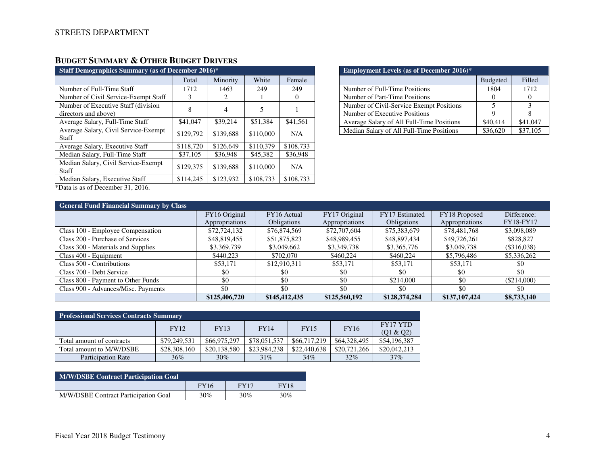# **BUDGET SUMMARY & OTHER BUDGET DRIVERS**

| <b>Staff Demographics Summary (as of December 2016)*</b>    |           |           |           |           |  |  |
|-------------------------------------------------------------|-----------|-----------|-----------|-----------|--|--|
|                                                             | Total     | Minority  | White     | Female    |  |  |
| Number of Full-Time Staff                                   | 1712      | 1463      | 249       | 249       |  |  |
| Number of Civil Service-Exempt Staff                        | 3         | 2         |           | $\theta$  |  |  |
| Number of Executive Staff (division<br>directors and above) | 8         | 4         | 5         |           |  |  |
| Average Salary, Full-Time Staff                             | \$41,047  | \$39,214  | \$51,384  | \$41,561  |  |  |
| Average Salary, Civil Service-Exempt<br>Staff               | \$129,792 | \$139,688 | \$110,000 | N/A       |  |  |
| Average Salary, Executive Staff                             | \$118,720 | \$126,649 | \$110,379 | \$108,733 |  |  |
| Median Salary, Full-Time Staff                              | \$37,105  | \$36,948  | \$45,382  | \$36,948  |  |  |
| Median Salary, Civil Service-Exempt<br>Staff                | \$129,375 | \$139,688 | \$110,000 | N/A       |  |  |
| Median Salary, Executive Staff                              | \$114,245 | \$123,932 | \$108,733 | \$108,733 |  |  |
| $*D + 12D + 12D + 201C$                                     |           |           |           |           |  |  |

| <b>Employment Levels (as of December 2016)*</b> |                 |          |  |  |  |
|-------------------------------------------------|-----------------|----------|--|--|--|
|                                                 | <b>Budgeted</b> | Filled   |  |  |  |
| Number of Full-Time Positions                   | 1804            | 1712     |  |  |  |
| Number of Part-Time Positions                   |                 |          |  |  |  |
| Number of Civil-Service Exempt Positions        |                 |          |  |  |  |
| Number of Executive Positions                   |                 |          |  |  |  |
| Average Salary of All Full-Time Positions       | \$40,414        | \$41,047 |  |  |  |
| Median Salary of All Full-Time Positions        | \$36,620        | \$37,105 |  |  |  |

\*Data is as of December 31, 2016.

| <b>General Fund Financial Summary by Class</b> |                |                    |                |                    |                |                  |
|------------------------------------------------|----------------|--------------------|----------------|--------------------|----------------|------------------|
|                                                | FY16 Original  | FY16 Actual        | FY17 Original  | FY17 Estimated     | FY18 Proposed  | Difference:      |
|                                                | Appropriations | <b>Obligations</b> | Appropriations | <b>Obligations</b> | Appropriations | <b>FY18-FY17</b> |
| Class 100 - Employee Compensation              | \$72,724,132   | \$76,874,569       | \$72,707,604   | \$75,383,679       | \$78,481,768   | \$3,098,089      |
| Class 200 - Purchase of Services               | \$48,819,455   | \$51,875,823       | \$48,989,455   | \$48,897,434       | \$49,726,261   | \$828,827        |
| Class 300 - Materials and Supplies             | \$3,369,739    | \$3,049,662        | \$3,349,738    | \$3,365,776        | \$3,049,738    | (\$316,038)      |
| Class 400 - Equipment                          | \$440,223      | \$702,070          | \$460,224      | \$460,224          | \$5,796,486    | \$5,336,262      |
| Class 500 - Contributions                      | \$53,171       | \$12,910,311       | \$53,171       | \$53,171           | \$53,171       | \$0              |
| Class 700 - Debt Service                       | \$0            | \$0                | -\$0           | \$0                | \$0            | \$0              |
| Class 800 - Payment to Other Funds             | \$0            | \$0                | \$0            | \$214,000          | \$0            | (\$214,000)      |
| Class 900 - Advances/Misc. Payments            | \$0            | \$0                | \$0            | \$0                | \$0            | \$0              |
|                                                | \$125,406,720  | \$145,412,435      | \$125,560,192  | \$128,374,284      | \$137,107,424  | \$8,733,140      |

| <b>Professional Services Contracts Summary</b> |                                                   |              |              |                 |              |              |
|------------------------------------------------|---------------------------------------------------|--------------|--------------|-----------------|--------------|--------------|
|                                                | <b>FY12</b><br>FY13<br><b>FY14</b><br><b>FY15</b> |              | <b>FY16</b>  | <b>FY17 YTD</b> |              |              |
|                                                |                                                   |              |              |                 |              | (01 & 02)    |
| Total amount of contracts                      | \$79,249,531                                      | \$66,975,297 | \$78,051,537 | \$66,717,219    | \$64,328,495 | \$54,196,387 |
| Total amount to M/W/DSBE                       | \$28,308,160                                      | \$20,138,580 | \$23,984,238 | \$22,440,638    | \$20,721,266 | \$20,042,213 |
| <b>Participation Rate</b>                      | $36\%$                                            | 30%          | 31%          | 34%             | 32%          | 37%          |

| M/W/DSBE Contract Participation Goal |             |             |             |  |  |
|--------------------------------------|-------------|-------------|-------------|--|--|
|                                      | <b>FY16</b> | <b>FY17</b> | <b>FY18</b> |  |  |
| M/W/DSBE Contract Participation Goal | 30%         | $30\%$      | $30\%$      |  |  |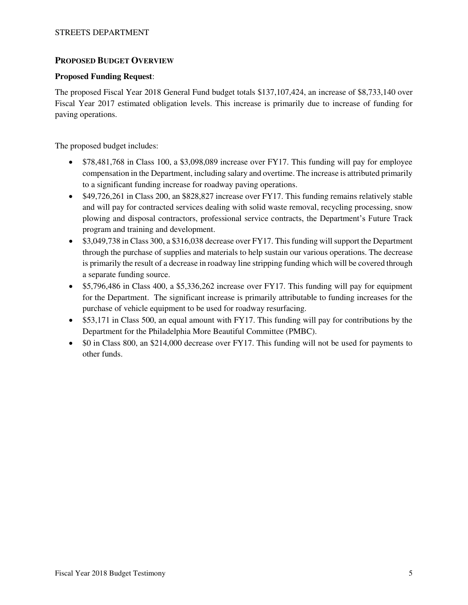## **PROPOSED BUDGET OVERVIEW**

#### **Proposed Funding Request**:

The proposed Fiscal Year 2018 General Fund budget totals \$137,107,424, an increase of \$8,733,140 over Fiscal Year 2017 estimated obligation levels. This increase is primarily due to increase of funding for paving operations.

The proposed budget includes:

- \$78,481,768 in Class 100, a \$3,098,089 increase over FY17. This funding will pay for employee compensation in the Department, including salary and overtime. The increase is attributed primarily to a significant funding increase for roadway paving operations.
- \$49,726,261 in Class 200, an \$828,827 increase over FY17. This funding remains relatively stable and will pay for contracted services dealing with solid waste removal, recycling processing, snow plowing and disposal contractors, professional service contracts, the Department's Future Track program and training and development.
- \$3,049,738 in Class 300, a \$316,038 decrease over FY17. This funding will support the Department through the purchase of supplies and materials to help sustain our various operations. The decrease is primarily the result of a decrease in roadway line stripping funding which will be covered through a separate funding source.
- \$5,796,486 in Class 400, a \$5,336,262 increase over FY17. This funding will pay for equipment for the Department. The significant increase is primarily attributable to funding increases for the purchase of vehicle equipment to be used for roadway resurfacing.
- $\bullet$  \$53,171 in Class 500, an equal amount with FY17. This funding will pay for contributions by the Department for the Philadelphia More Beautiful Committee (PMBC).
- \$0 in Class 800, an \$214,000 decrease over FY17. This funding will not be used for payments to other funds.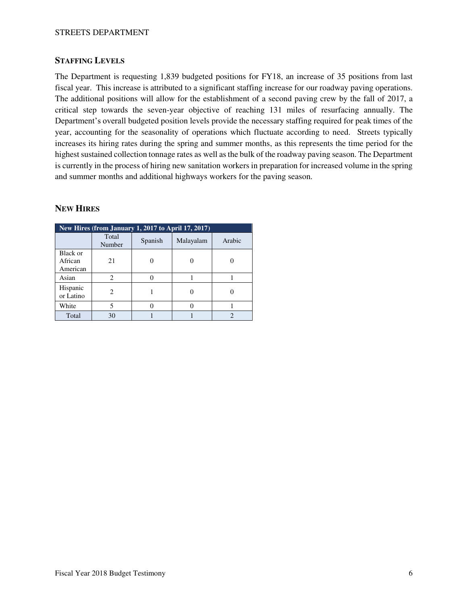#### **STAFFING LEVELS**

The Department is requesting 1,839 budgeted positions for FY18, an increase of 35 positions from last fiscal year. This increase is attributed to a significant staffing increase for our roadway paving operations. The additional positions will allow for the establishment of a second paving crew by the fall of 2017, a critical step towards the seven-year objective of reaching 131 miles of resurfacing annually. The Department's overall budgeted position levels provide the necessary staffing required for peak times of the year, accounting for the seasonality of operations which fluctuate according to need. Streets typically increases its hiring rates during the spring and summer months, as this represents the time period for the highest sustained collection tonnage rates as well as the bulk of the roadway paving season. The Department is currently in the process of hiring new sanitation workers in preparation for increased volume in the spring and summer months and additional highways workers for the paving season.

## **NEW HIRES**

| New Hires (from January 1, 2017 to April 17, 2017) |                 |         |           |        |  |  |
|----------------------------------------------------|-----------------|---------|-----------|--------|--|--|
|                                                    | Total<br>Number | Spanish | Malayalam | Arabic |  |  |
| Black or<br>African<br>American                    | 21              |         |           |        |  |  |
| Asian                                              | 2               |         |           |        |  |  |
| Hispanic<br>or Latino                              |                 |         |           |        |  |  |
| White                                              | 5               |         |           |        |  |  |
| Total                                              | 30              |         |           |        |  |  |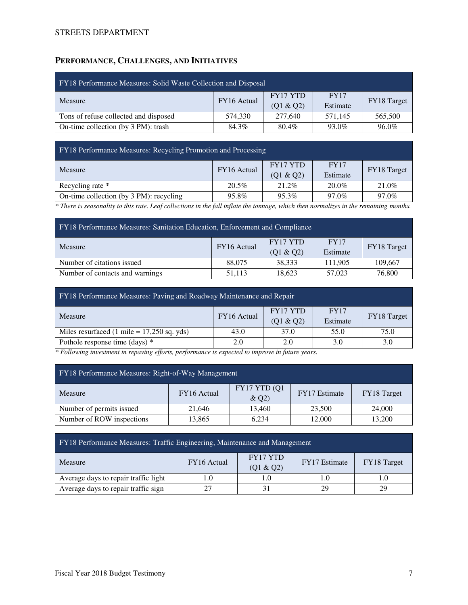## **PERFORMANCE, CHALLENGES, AND INITIATIVES**

| FY18 Performance Measures: Solid Waste Collection and Disposal |             |                       |                         |             |  |  |
|----------------------------------------------------------------|-------------|-----------------------|-------------------------|-------------|--|--|
| Measure                                                        | FY16 Actual | FY17 YTD<br>(Q1 & Q2) | <b>FY17</b><br>Estimate | FY18 Target |  |  |
| Tons of refuse collected and disposed                          | 574.330     | 277,640               | 571.145                 | 565,500     |  |  |
| On-time collection (by 3 PM): trash                            | 84.3%       | 80.4%                 | 93.0%                   | 96.0%       |  |  |

FY18 Performance Measures: Recycling Promotion and Processing

|       | FY17 YTD    | <b>FY17</b> | FY18 Target |  |
|-------|-------------|-------------|-------------|--|
|       | (01 & 02)   | Estimate    |             |  |
| 20.5% | 21.2%       | $20.0\%$    | 21.0%       |  |
| 95.8% | 95.3%       | 97.0%       | 97.0%       |  |
|       | FY16 Actual |             |             |  |

*\* There is seasonality to this rate. Leaf collections in the fall inflate the tonnage, which then normalizes in the remaining months.* 

| <b>FY18</b> Performance Measures: Sanitation Education, Enforcement and Compliance |             |           |             |             |  |
|------------------------------------------------------------------------------------|-------------|-----------|-------------|-------------|--|
| Measure                                                                            | FY16 Actual | FY17 YTD  | <b>FY17</b> | FY18 Target |  |
|                                                                                    |             | (Q1 & Q2) | Estimate    |             |  |
| Number of citations issued                                                         | 88,075      | 38,333    | 111,905     | 109.667     |  |
| 18,623<br>76,800<br>51,113<br>Number of contacts and warnings<br>57,023            |             |           |             |             |  |

| FY18 Performance Measures: Paving and Roadway Maintenance and Repair |                                                                                |      |      |      |  |  |
|----------------------------------------------------------------------|--------------------------------------------------------------------------------|------|------|------|--|--|
| Measure                                                              | FY17 YTD<br><b>FY17</b><br>FY16 Actual<br>FY18 Target<br>(Q1 & Q2)<br>Estimate |      |      |      |  |  |
| Miles resurfaced $(1 \text{ mile} = 17,250 \text{ sq. yds})$         | 43.0                                                                           | 37.0 | 55.0 | 75.0 |  |  |
| Pothole response time (days) *<br>2.0<br>2.0<br>3.0<br>3.0           |                                                                                |      |      |      |  |  |

*\* Following investment in repaving efforts, performance is expected to improve in future years.* 

| FY18 Performance Measures: Right-of-Way Management |             |                      |                      |             |  |  |
|----------------------------------------------------|-------------|----------------------|----------------------|-------------|--|--|
| Measure                                            | FY16 Actual | FY17 YTD (Q1<br>&Q2) | <b>FY17</b> Estimate | FY18 Target |  |  |
| Number of permits issued                           | 21,646      | 13,460               | 23,500               | 24,000      |  |  |
| Number of ROW inspections                          | 13,865      | 6.234                | 12,000               | 13,200      |  |  |

| FY18 Performance Measures: Traffic Engineering, Maintenance and Management |             |                       |                      |             |  |  |
|----------------------------------------------------------------------------|-------------|-----------------------|----------------------|-------------|--|--|
| Measure                                                                    | FY16 Actual | FY17 YTD<br>(Q1 & Q2) | <b>FY17</b> Estimate | FY18 Target |  |  |
| Average days to repair traffic light                                       |             | 1.0                   |                      |             |  |  |
| Average days to repair traffic sign                                        |             |                       | 29                   | 29          |  |  |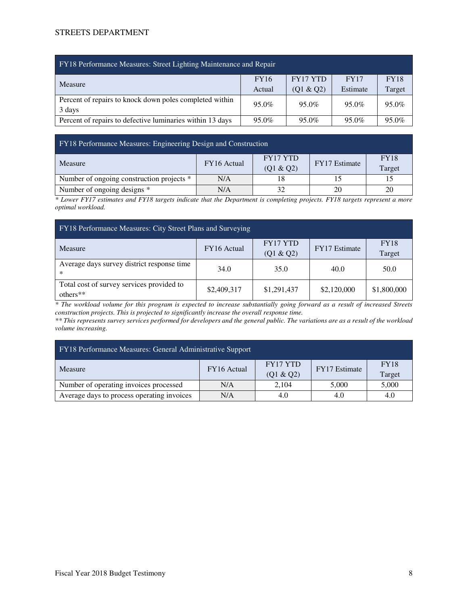| FY18 Performance Measures: Street Lighting Maintenance and Repair |             |           |          |             |  |  |  |  |  |  |  |
|-------------------------------------------------------------------|-------------|-----------|----------|-------------|--|--|--|--|--|--|--|
| Measure                                                           | <b>FY16</b> | FY17 YTD  | FY17     | <b>FY18</b> |  |  |  |  |  |  |  |
|                                                                   | Actual      | (Q1 & Q2) | Estimate | Target      |  |  |  |  |  |  |  |
| Percent of repairs to knock down poles completed within           | 95.0%       | 95.0%     | 95.0%    | 95.0%       |  |  |  |  |  |  |  |
| 3 days                                                            |             |           |          |             |  |  |  |  |  |  |  |
| Percent of repairs to defective luminaries within 13 days         | 95.0%       | 95.0%     | 95.0%    | 95.0%       |  |  |  |  |  |  |  |

#### FY18 Performance Measures: Engineering Design and Construction

| Measure                                   | FY16 Actual | FY17 YTD  | <b>FY17</b> Estimate | <b>FY18</b> |
|-------------------------------------------|-------------|-----------|----------------------|-------------|
|                                           |             | (Q1 & Q2) |                      | Target      |
| Number of ongoing construction projects * | N/A         |           |                      |             |
| Number of ongoing designs *               | N/A         |           | 20                   | 20          |

*\* Lower FY17 estimates and FY18 targets indicate that the Department is completing projects. FY18 targets represent a more optimal workload.* 

| FY18 Performance Measures: City Street Plans and Surveying |             |                              |               |                       |  |  |  |  |  |  |
|------------------------------------------------------------|-------------|------------------------------|---------------|-----------------------|--|--|--|--|--|--|
| <b>Measure</b>                                             | FY16 Actual | <b>FY17 YTD</b><br>(Q1 & Q2) | FY17 Estimate | <b>FY18</b><br>Target |  |  |  |  |  |  |
| Average days survey district response time<br>∗            | 34.0        | 35.0                         | 40.0          | 50.0                  |  |  |  |  |  |  |
| Total cost of survey services provided to<br>$others**$    | \$2,409,317 | \$1,291,437                  | \$2,120,000   | \$1,800,000           |  |  |  |  |  |  |

*\* The workload volume for this program is expected to increase substantially going forward as a result of increased Streets construction projects. This is projected to significantly increase the overall response time.* 

*\*\* This represents survey services performed for developers and the general public. The variations are as a result of the workload volume increasing.* 

| <b>FY18 Performance Measures: General Administrative Support</b> |             |           |                      |             |  |  |  |  |  |  |  |
|------------------------------------------------------------------|-------------|-----------|----------------------|-------------|--|--|--|--|--|--|--|
| Measure                                                          | FY16 Actual | FY17 YTD  | <b>FY17</b> Estimate | <b>FY18</b> |  |  |  |  |  |  |  |
|                                                                  |             | (Q1 & Q2) |                      | Target      |  |  |  |  |  |  |  |
| Number of operating invoices processed                           | N/A         | 2,104     | 5,000                | 5,000       |  |  |  |  |  |  |  |
| Average days to process operating invoices                       | N/A         | 4.0       | 4.0                  | 4.0         |  |  |  |  |  |  |  |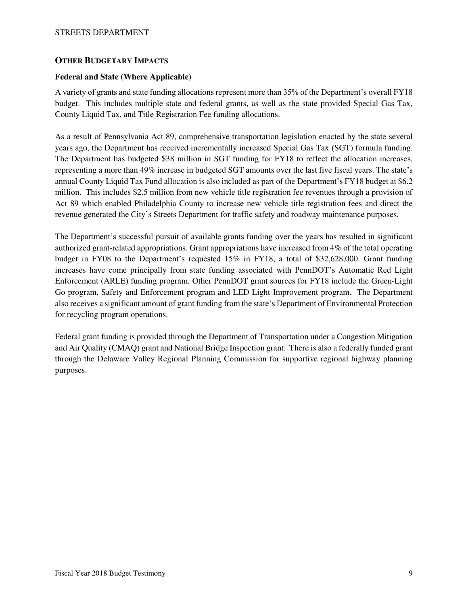#### **OTHER BUDGETARY IMPACTS**

#### **Federal and State (Where Applicable)**

A variety of grants and state funding allocations represent more than 35% of the Department's overall FY18 budget. This includes multiple state and federal grants, as well as the state provided Special Gas Tax, County Liquid Tax, and Title Registration Fee funding allocations.

As a result of Pennsylvania Act 89, comprehensive transportation legislation enacted by the state several years ago, the Department has received incrementally increased Special Gas Tax (SGT) formula funding. The Department has budgeted \$38 million in SGT funding for FY18 to reflect the allocation increases, representing a more than 49% increase in budgeted SGT amounts over the last five fiscal years. The state's annual County Liquid Tax Fund allocation is also included as part of the Department's FY18 budget at \$6.2 million. This includes \$2.5 million from new vehicle title registration fee revenues through a provision of Act 89 which enabled Philadelphia County to increase new vehicle title registration fees and direct the revenue generated the City's Streets Department for traffic safety and roadway maintenance purposes.

The Department's successful pursuit of available grants funding over the years has resulted in significant authorized grant-related appropriations. Grant appropriations have increased from 4% of the total operating budget in FY08 to the Department's requested 15% in FY18, a total of \$32,628,000. Grant funding increases have come principally from state funding associated with PennDOT's Automatic Red Light Enforcement (ARLE) funding program. Other PennDOT grant sources for FY18 include the Green-Light Go program, Safety and Enforcement program and LED Light Improvement program. The Department also receives a significant amount of grant funding from the state's Department of Environmental Protection for recycling program operations.

Federal grant funding is provided through the Department of Transportation under a Congestion Mitigation and Air Quality (CMAQ) grant and National Bridge Inspection grant. There is also a federally funded grant through the Delaware Valley Regional Planning Commission for supportive regional highway planning purposes.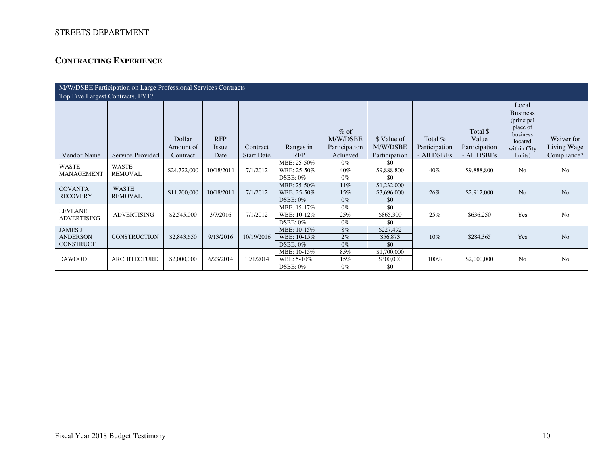# **CONTRACTING EXPERIENCE**

|                                      | M/W/DSBE Participation on Large Professional Services Contracts |                                 |                             |                               |                            |                                                 |                                          |                                         |                                                   |                                                                                                     |                                          |  |  |
|--------------------------------------|-----------------------------------------------------------------|---------------------------------|-----------------------------|-------------------------------|----------------------------|-------------------------------------------------|------------------------------------------|-----------------------------------------|---------------------------------------------------|-----------------------------------------------------------------------------------------------------|------------------------------------------|--|--|
| Top Five Largest Contracts, FY17     |                                                                 |                                 |                             |                               |                            |                                                 |                                          |                                         |                                                   |                                                                                                     |                                          |  |  |
| <b>Vendor Name</b>                   | Service Provided                                                | Dollar<br>Amount of<br>Contract | <b>RFP</b><br>Issue<br>Date | Contract<br><b>Start Date</b> | Ranges in<br><b>RFP</b>    | $%$ of<br>M/W/DSBE<br>Participation<br>Achieved | \$ Value of<br>M/W/DSBE<br>Participation | Total %<br>Participation<br>- All DSBEs | Total \$<br>Value<br>Participation<br>- All DSBEs | Local<br><b>Business</b><br>(principal<br>place of<br>business<br>located<br>within City<br>limits) | Waiver for<br>Living Wage<br>Compliance? |  |  |
|                                      |                                                                 |                                 |                             |                               | MBE: 25-50%                | $0\%$                                           | \$0                                      |                                         |                                                   |                                                                                                     |                                          |  |  |
| WASTE<br><b>MANAGEMENT</b>           | WASTE<br>REMOVAL                                                | \$24,722,000                    | 10/18/2011                  | 7/1/2012                      | WBE: 25-50%                | 40%                                             | \$9,888,800                              | 40%                                     | \$9,888,800                                       | N <sub>o</sub>                                                                                      | N <sub>0</sub>                           |  |  |
|                                      |                                                                 |                                 |                             |                               | <b>DSBE: 0%</b>            | $0\%$                                           | \$0                                      |                                         |                                                   |                                                                                                     |                                          |  |  |
| <b>COVANTA</b>                       | <b>WASTE</b>                                                    |                                 |                             |                               | MBE: 25-50%                | 11%                                             | \$1,232,000                              |                                         |                                                   |                                                                                                     |                                          |  |  |
| <b>RECOVERY</b>                      | <b>REMOVAL</b>                                                  | \$11,200,000                    | 10/18/2011                  | 7/1/2012                      | WBE: 25-50%<br>DSBE: $0\%$ | 15%<br>$0\%$                                    | \$3,696,000<br>\$0                       | 26%                                     | \$2,912,000                                       | N <sub>o</sub>                                                                                      | N <sub>o</sub>                           |  |  |
|                                      |                                                                 |                                 |                             |                               | MBE: 15-17%                | $0\%$                                           | \$0                                      |                                         |                                                   |                                                                                                     |                                          |  |  |
| <b>LEVLANE</b><br><b>ADVERTISING</b> | <b>ADVERTISING</b>                                              | \$2,545,000                     | 3/7/2016                    | 7/1/2012                      | WBE: 10-12%                | 25%                                             | \$865,300                                | 25%                                     | \$636,250                                         | Yes                                                                                                 | N <sub>0</sub>                           |  |  |
|                                      |                                                                 |                                 |                             |                               | $DSBE: 0\%$                | $0\%$                                           | \$0                                      |                                         |                                                   |                                                                                                     |                                          |  |  |
| JAMES J.                             |                                                                 |                                 |                             |                               | MBE: 10-15%                | 8%                                              | \$227,492                                |                                         |                                                   |                                                                                                     |                                          |  |  |
| <b>ANDERSON</b>                      | <b>CONSTRUCTION</b>                                             | \$2,843,650                     | 9/13/2016                   | 10/19/2016                    | WBE: 10-15%                | 2%                                              | \$56,873                                 | 10%                                     | \$284,365                                         | Yes                                                                                                 | N <sub>o</sub>                           |  |  |
| <b>CONSTRUCT</b>                     |                                                                 |                                 |                             |                               | DSBE: 0%                   | $0\%$                                           | \$0                                      |                                         |                                                   |                                                                                                     |                                          |  |  |
|                                      |                                                                 |                                 |                             |                               | MBE: 10-15%                | 85%                                             | \$1,700,000                              |                                         |                                                   |                                                                                                     |                                          |  |  |
| <b>DAWOOD</b>                        | <b>ARCHITECTURE</b>                                             | \$2,000,000                     | 6/23/2014                   | 10/1/2014                     | WBE: 5-10%                 | 15%                                             | \$300,000                                | 100%                                    | \$2,000,000                                       | N <sub>o</sub>                                                                                      | N <sub>0</sub>                           |  |  |
|                                      |                                                                 |                                 |                             |                               | <b>DSBE: 0%</b>            | $0\%$                                           | \$0                                      |                                         |                                                   |                                                                                                     |                                          |  |  |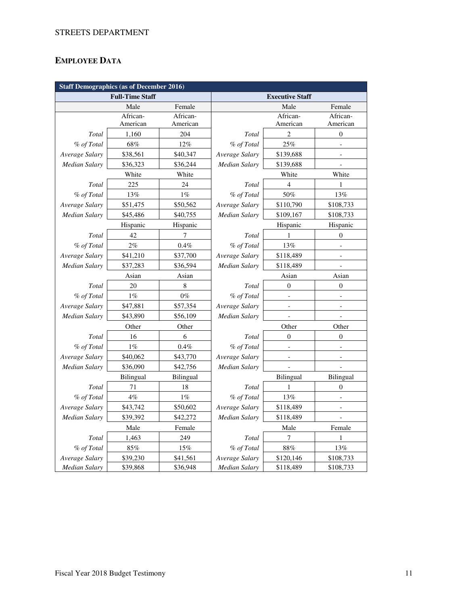# **EMPLOYEE DATA**

| <b>Staff Demographics (as of December 2016)</b> |                        |             |                        |                         |                          |  |  |  |  |  |  |
|-------------------------------------------------|------------------------|-------------|------------------------|-------------------------|--------------------------|--|--|--|--|--|--|
|                                                 | <b>Full-Time Staff</b> |             | <b>Executive Staff</b> |                         |                          |  |  |  |  |  |  |
|                                                 | Male                   | Female      |                        | Male                    | Female                   |  |  |  |  |  |  |
|                                                 | African-               | African-    |                        | African-                | African-                 |  |  |  |  |  |  |
|                                                 | American               | American    |                        | American                | American                 |  |  |  |  |  |  |
| Total                                           | 1,160                  | 204         | Total                  | $\overline{\mathbf{c}}$ | 0                        |  |  |  |  |  |  |
| % of Total                                      | 68%                    | 12%         | % of Total             | 25%                     |                          |  |  |  |  |  |  |
| Average Salary                                  | \$38,561               | \$40,347    | Average Salary         | \$139,688               |                          |  |  |  |  |  |  |
| Median Salary                                   | \$36,323               | \$36,244    | Median Salary          | \$139,688               |                          |  |  |  |  |  |  |
|                                                 | White                  | White       |                        | White                   | White                    |  |  |  |  |  |  |
| Total                                           | 225                    | 24          | Total                  | 4                       | 1                        |  |  |  |  |  |  |
| % of Total                                      | 13%                    | $1\%$       | % of Total             | 50%                     | 13%                      |  |  |  |  |  |  |
| Average Salary                                  | \$51,475               | \$50,562    | Average Salary         | \$110,790               | \$108,733                |  |  |  |  |  |  |
| <b>Median Salary</b>                            | \$45,486               | \$40,755    | Median Salary          | \$109,167               | \$108,733                |  |  |  |  |  |  |
|                                                 | Hispanic               | Hispanic    |                        | Hispanic                | Hispanic                 |  |  |  |  |  |  |
| Total                                           | 42                     | 7           | Total                  | 1                       | $\mathbf{0}$             |  |  |  |  |  |  |
| % of Total                                      | $2\%$                  | 0.4%        | % of Total             | 13%                     |                          |  |  |  |  |  |  |
| Average Salary                                  | \$41,210               | \$37,700    | Average Salary         | \$118,489               | $\overline{a}$           |  |  |  |  |  |  |
| <b>Median Salary</b>                            | \$37,283               | \$36,594    | Median Salary          | \$118,489               | $\overline{a}$           |  |  |  |  |  |  |
|                                                 | Asian                  | Asian       |                        | Asian                   | Asian                    |  |  |  |  |  |  |
| Total                                           | 20                     | $\,$ 8 $\,$ | Total                  | $\boldsymbol{0}$        | $\boldsymbol{0}$         |  |  |  |  |  |  |
| % of Total                                      | $1\%$                  | $0\%$       | % of Total             |                         |                          |  |  |  |  |  |  |
| Average Salary                                  | \$47,881               | \$57,354    | Average Salary         |                         |                          |  |  |  |  |  |  |
| Median Salary                                   | \$43,890               | \$56,109    | Median Salary          |                         |                          |  |  |  |  |  |  |
|                                                 | Other                  | Other       |                        | Other                   |                          |  |  |  |  |  |  |
| Total                                           | 16                     | 6           | Total                  | $\boldsymbol{0}$        | $\boldsymbol{0}$         |  |  |  |  |  |  |
| % of Total                                      | $1\%$                  | $0.4\%$     | % of Total             |                         |                          |  |  |  |  |  |  |
| Average Salary                                  | \$40,062               | \$43,770    | Average Salary         |                         |                          |  |  |  |  |  |  |
| <b>Median Salary</b>                            | \$36,090               | \$42,756    | <b>Median Salary</b>   |                         |                          |  |  |  |  |  |  |
|                                                 | <b>Bilingual</b>       | Bilingual   |                        | <b>Bilingual</b>        | <b>Bilingual</b>         |  |  |  |  |  |  |
| Total                                           | 71                     | 18          | Total                  | 1                       | $\overline{0}$           |  |  |  |  |  |  |
| % of Total                                      | 4%                     | $1\%$       | % of Total             | $13\%$                  | $\overline{a}$           |  |  |  |  |  |  |
| Average Salary                                  | \$43,742               | \$50,602    | Average Salary         | \$118,489               | $\overline{\phantom{m}}$ |  |  |  |  |  |  |
| <b>Median Salary</b>                            | \$39,392               | \$42,272    | Median Salary          | \$118,489               |                          |  |  |  |  |  |  |
|                                                 | Male                   | Female      |                        | Male                    | Female                   |  |  |  |  |  |  |
| Total                                           | 1,463                  | 249         | Total                  | 7                       | 1                        |  |  |  |  |  |  |
| % of Total                                      | 85%                    | 15%         | % of Total             | 88%                     | 13%                      |  |  |  |  |  |  |
| Average Salary                                  | \$39,230               | \$41,561    | Average Salary         | \$120,146               | \$108,733                |  |  |  |  |  |  |
| <b>Median Salary</b>                            | \$39,868               | \$36,948    | Median Salary          | \$118,489               | \$108,733                |  |  |  |  |  |  |